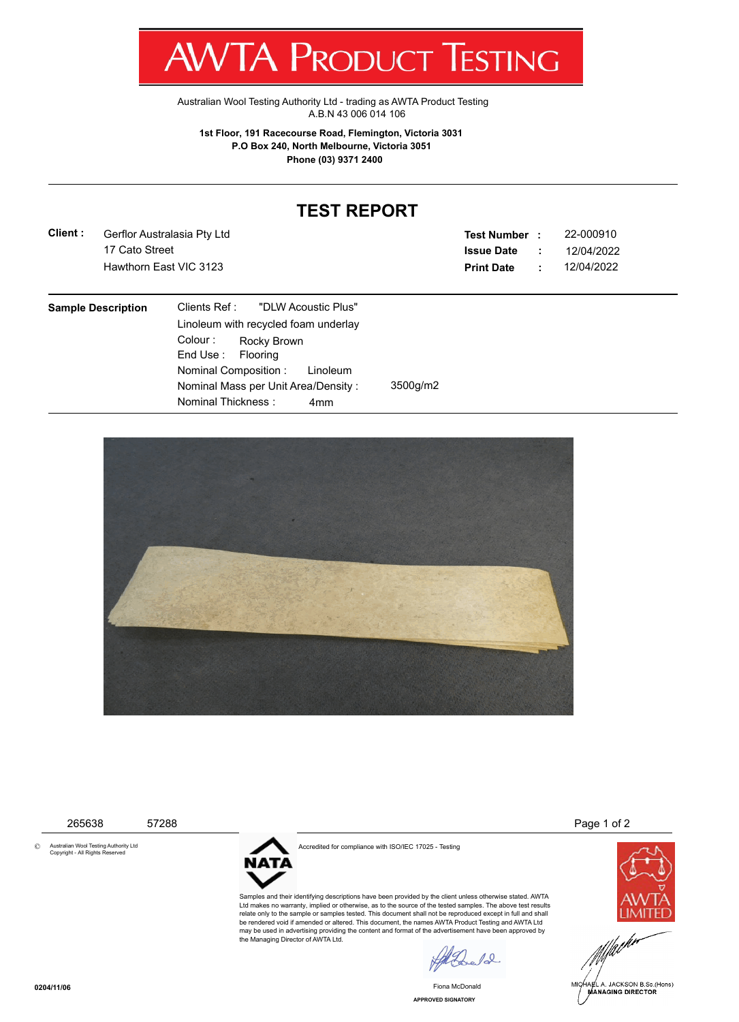## T WV I/VI RUDUCT IESHING

[Australian Wool Testing Authority Ltd - trading as AWTA Product Testing](http://www.awtaproducttesting.com.au/) A.B.N 43 006 014 106

**1st Floor, 191 Racecourse Road, Flemington, Victoria 3031 P.O Box 240, North Melbourne, Victoria 3051 Phone (03) 9371 2400**

## **TEST REPORT**

**Client :** 17 Cato Street Gerflor Australasia Pty Ltd

**Test Number : Issue Date :** 22-000910 Hawthorn East VIC 3123 **Print Date :** 12/04/2022 12/04/2022

| <b>Sample Description</b> | Clients Ref: "DLW Acoustic Plus"       |          |
|---------------------------|----------------------------------------|----------|
|                           | Linoleum with recycled foam underlay   |          |
|                           | Colour: Rocky Brown                    |          |
|                           | End Use: Flooring                      |          |
|                           | Nominal Composition: Linoleum          |          |
|                           | Nominal Mass per Unit Area/Density:    | 3500g/m2 |
|                           | Nominal Thickness :<br>4 <sub>mm</sub> |          |



© Australian Wool Testing Authority Ltd Copyright - All Rights Reserved



Accredited for compliance with ISO/IEC 17025 - Testing

Samples and their identifying descriptions have been provided by the client unless otherwise stated. AWTA Ltd makes no warranty, implied or otherwise, as to the source of the tested samples. The above test results relate only to the sample or samples tested. This document shall not be reproduced except in full and shall be rendered void if amended or altered. This document, the names AWTA Product Testing and AWTA Ltd may be used in advertising providing the content and format of the advertisement have been approved by the Managing Director of AWTA Ltd.

 $\sqrt{2}$ 

**APPROVED SIGNATORY** Fiona McDonald

265638 57288 Page 1 of 2